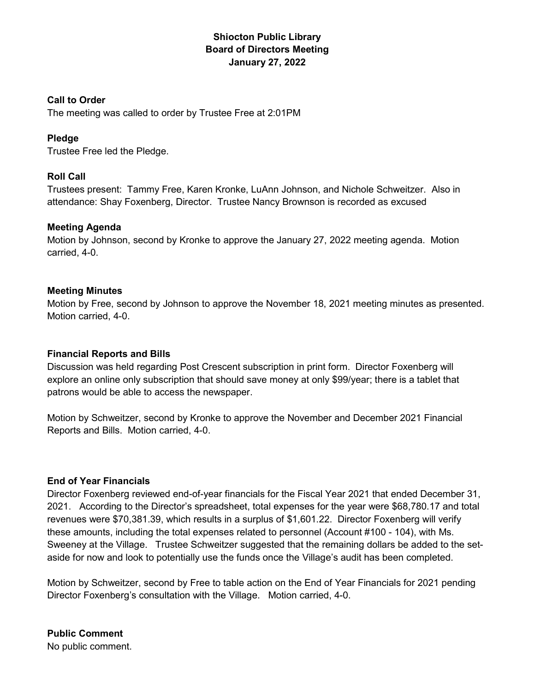# Shiocton Public Library Board of Directors Meeting January 27, 2022

## Call to Order

The meeting was called to order by Trustee Free at 2:01PM

# Pledge

Trustee Free led the Pledge.

# Roll Call

Trustees present: Tammy Free, Karen Kronke, LuAnn Johnson, and Nichole Schweitzer. Also in attendance: Shay Foxenberg, Director. Trustee Nancy Brownson is recorded as excused

# Meeting Agenda

Motion by Johnson, second by Kronke to approve the January 27, 2022 meeting agenda. Motion carried, 4-0.

# Meeting Minutes

Motion by Free, second by Johnson to approve the November 18, 2021 meeting minutes as presented. Motion carried, 4-0.

## Financial Reports and Bills

Discussion was held regarding Post Crescent subscription in print form. Director Foxenberg will explore an online only subscription that should save money at only \$99/year; there is a tablet that patrons would be able to access the newspaper.

Motion by Schweitzer, second by Kronke to approve the November and December 2021 Financial Reports and Bills. Motion carried, 4-0.

# End of Year Financials

Director Foxenberg reviewed end-of-year financials for the Fiscal Year 2021 that ended December 31, 2021. According to the Director's spreadsheet, total expenses for the year were \$68,780.17 and total revenues were \$70,381.39, which results in a surplus of \$1,601.22. Director Foxenberg will verify these amounts, including the total expenses related to personnel (Account #100 - 104), with Ms. Sweeney at the Village. Trustee Schweitzer suggested that the remaining dollars be added to the setaside for now and look to potentially use the funds once the Village's audit has been completed.

Motion by Schweitzer, second by Free to table action on the End of Year Financials for 2021 pending Director Foxenberg's consultation with the Village. Motion carried, 4-0.

Public Comment

No public comment.